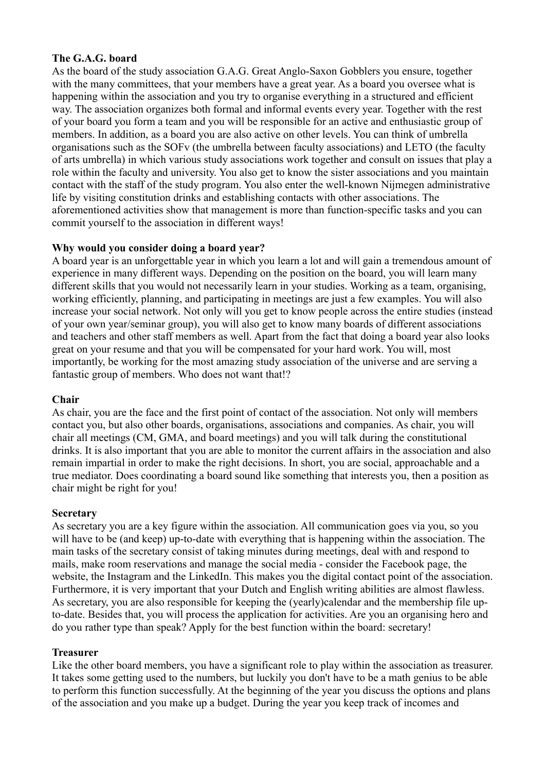# **The G.A.G. board**

As the board of the study association G.A.G. Great Anglo-Saxon Gobblers you ensure, together with the many committees, that your members have a great year. As a board you oversee what is happening within the association and you try to organise everything in a structured and efficient way. The association organizes both formal and informal events every year. Together with the rest of your board you form a team and you will be responsible for an active and enthusiastic group of members. In addition, as a board you are also active on other levels. You can think of umbrella organisations such as the SOFv (the umbrella between faculty associations) and LETO (the faculty of arts umbrella) in which various study associations work together and consult on issues that play a role within the faculty and university. You also get to know the sister associations and you maintain contact with the staff of the study program. You also enter the well-known Nijmegen administrative life by visiting constitution drinks and establishing contacts with other associations. The aforementioned activities show that management is more than function-specific tasks and you can commit yourself to the association in different ways!

# **Why would you consider doing a board year?**

A board year is an unforgettable year in which you learn a lot and will gain a tremendous amount of experience in many different ways. Depending on the position on the board, you will learn many different skills that you would not necessarily learn in your studies. Working as a team, organising, working efficiently, planning, and participating in meetings are just a few examples. You will also increase your social network. Not only will you get to know people across the entire studies (instead of your own year/seminar group), you will also get to know many boards of different associations and teachers and other staff members as well. Apart from the fact that doing a board year also looks great on your resume and that you will be compensated for your hard work. You will, most importantly, be working for the most amazing study association of the universe and are serving a fantastic group of members. Who does not want that!?

### **Chair**

As chair, you are the face and the first point of contact of the association. Not only will members contact you, but also other boards, organisations, associations and companies. As chair, you will chair all meetings (CM, GMA, and board meetings) and you will talk during the constitutional drinks. It is also important that you are able to monitor the current affairs in the association and also remain impartial in order to make the right decisions. In short, you are social, approachable and a true mediator. Does coordinating a board sound like something that interests you, then a position as chair might be right for you!

### **Secretary**

As secretary you are a key figure within the association. All communication goes via you, so you will have to be (and keep) up-to-date with everything that is happening within the association. The main tasks of the secretary consist of taking minutes during meetings, deal with and respond to mails, make room reservations and manage the social media - consider the Facebook page, the website, the Instagram and the LinkedIn. This makes you the digital contact point of the association. Furthermore, it is very important that your Dutch and English writing abilities are almost flawless. As secretary, you are also responsible for keeping the (yearly)calendar and the membership file upto-date. Besides that, you will process the application for activities. Are you an organising hero and do you rather type than speak? Apply for the best function within the board: secretary!

### **Treasurer**

Like the other board members, you have a significant role to play within the association as treasurer. It takes some getting used to the numbers, but luckily you don't have to be a math genius to be able to perform this function successfully. At the beginning of the year you discuss the options and plans of the association and you make up a budget. During the year you keep track of incomes and